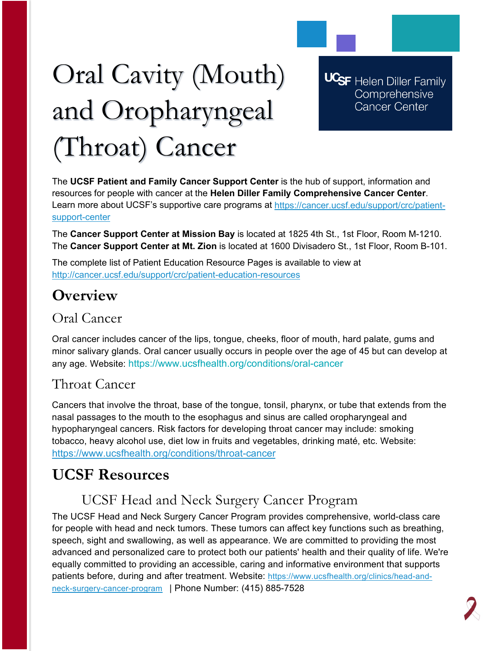# Oral Cavity (Mouth) and Oropharyngeal (Throat) Cancer

**UCSF** Helen Diller Family Comprehensive **Cancer Center** 

The **UCSF Patient and Family Cancer Support Center** is the hub of support, information and resources for people with cancer at the **Helen Diller Family Comprehensive Cancer Center**. Learn more about UCSF's supportive care programs at [https://cancer.ucsf.edu/support/crc/patient](https://cancer.ucsf.edu/support/crc/patient-support-center)[support-center](https://cancer.ucsf.edu/support/crc/patient-support-center)

The **Cancer Support Center at Mission Bay** is located at 1825 4th St., 1st Floor, Room M-1210. The **Cancer Support Center at Mt. Zion** is located at 1600 Divisadero St., 1st Floor, Room B-101.

The complete list of Patient Education Resource Pages is available to view at <http://cancer.ucsf.edu/support/crc/patient-education-resources>

# **Overview**

# Oral Cancer

Oral cancer includes cancer of the lips, tongue, cheeks, floor of mouth, hard palate, gums and minor salivary glands. Oral cancer usually occurs in people over the age of 45 but can develop at any age. Website: https://www.ucsfhealth.org/conditions/oral-cancer

## Throat Cancer

Cancers that involve the throat, base of the tongue, tonsil, pharynx, or tube that extends from the nasal passages to the mouth to the esophagus and sinus are called oropharyngeal and hypopharyngeal cancers. Risk factors for developing throat cancer may include: smoking tobacco, heavy alcohol use, diet low in fruits and vegetables, drinking maté, etc. Website: <https://www.ucsfhealth.org/conditions/throat-cancer>

# **UCSF Resources**

# UCSF Head and Neck Surgery Cancer Program

The UCSF Head and Neck Surgery Cancer Program provides comprehensive, world-class care for people with head and neck tumors. These tumors can affect key functions such as breathing, speech, sight and swallowing, as well as appearance. We are committed to providing the most advanced and personalized care to protect both our patients' health and their quality of life. We're equally committed to providing an accessible, caring and informative environment that supports patients before, during and after treatment. Website: [https://www.ucsfhealth.org/clinics/head-and](https://www.ucsfhealth.org/clinics/head-and-neck-surgery-cancer-program)[neck-surgery-cancer-program](https://www.ucsfhealth.org/clinics/head-and-neck-surgery-cancer-program) | Phone Number: (415) 885-7528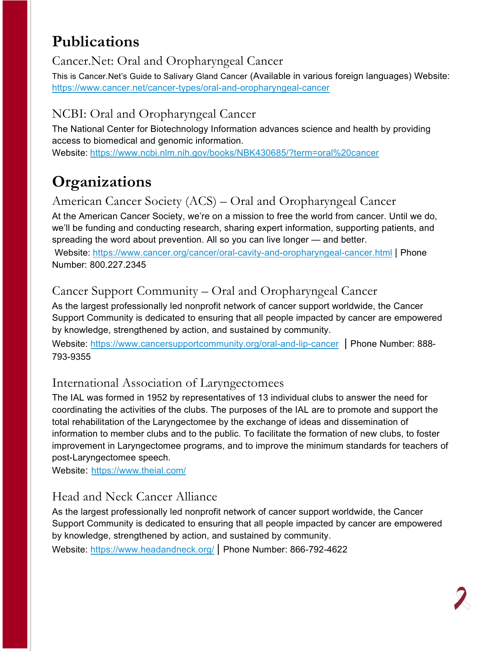# **Publications**

#### Cancer.Net: Oral and Oropharyngeal Cancer

This is Cancer.Net's Guide to Salivary Gland Cancer (Available in various foreign languages) Website: <https://www.cancer.net/cancer-types/oral-and-oropharyngeal-cancer>

## NCBI: Oral and Oropharyngeal Cancer

The National Center for Biotechnology Information advances science and health by providing access to biomedical and genomic information.

Website: <https://www.ncbi.nlm.nih.gov/books/NBK430685/?term=oral%20cancer>

# **Organizations**

#### American Cancer Society (ACS) – Oral and Oropharyngeal Cancer

At the American Cancer Society, we're on a mission to free the world from cancer. Until we do, we'll be funding and conducting research, sharing expert information, supporting patients, and spreading the word about prevention. All so you can live longer — and better.

Website: <https://www.cancer.org/cancer/oral-cavity-and-oropharyngeal-cancer.html> | Phone Number: 800.227.2345

## Cancer Support Community – Oral and Oropharyngeal Cancer

As the largest professionally led nonprofit network of cancer support worldwide, the Cancer Support Community is dedicated to ensuring that all people impacted by cancer are empowered by knowledge, strengthened by action, and sustained by community.

Website:<https://www.cancersupportcommunity.org/oral-and-lip-cancer> | Phone Number: 888- 793-9355

#### International Association of Laryngectomees

The IAL was formed in 1952 by representatives of 13 individual clubs to answer the need for coordinating the activities of the clubs. The purposes of the IAL are to promote and support the total rehabilitation of the Laryngectomee by the exchange of ideas and dissemination of information to member clubs and to the public. To facilitate the formation of new clubs, to foster improvement in Laryngectomee programs, and to improve the minimum standards for teachers of post-Laryngectomee speech.

Website: <https://www.theial.com/>

## Head and Neck Cancer Alliance

As the largest professionally led nonprofit network of cancer support worldwide, the Cancer Support Community is dedicated to ensuring that all people impacted by cancer are empowered by knowledge, strengthened by action, and sustained by community.

Website:<https://www.headandneck.org/> | Phone Number: 866-792-4622